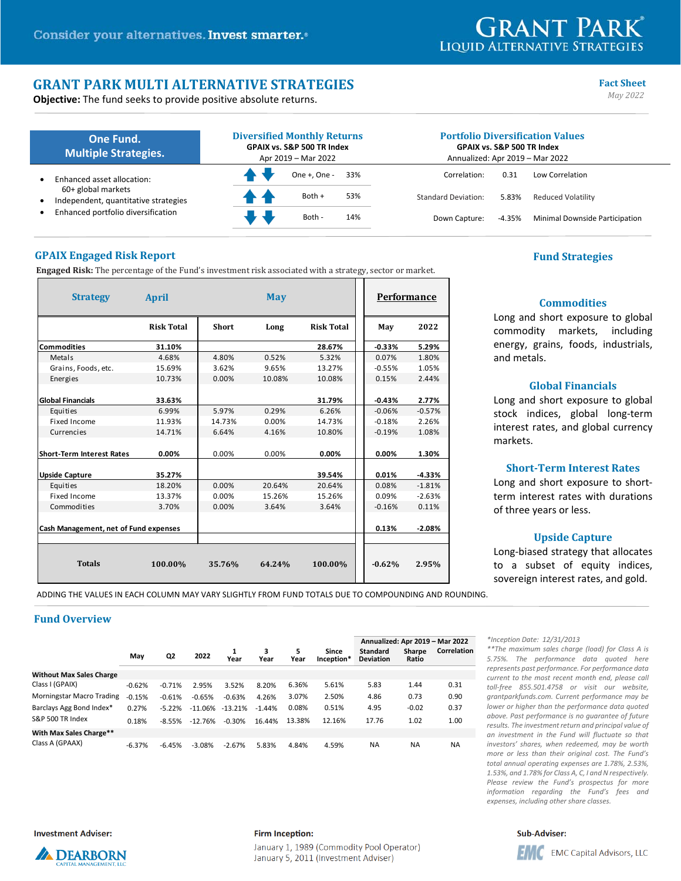# **GRANT PARK LIQUID ALTERNATIVE STRATEGIES**

**Commodities** Long and short exposure to global commodity markets, including energy, grains, foods, industrials,

**Global Financials** Long and short exposure to global stock indices, global long‐term interest rates, and global currency

**Short‐Term Interest Rates** Long and short exposure to shortterm interest rates with durations

**Upside Capture** Long‐biased strategy that allocates to a subset of equity indices,

and metals.

markets.

# **GRANT PARK MULTI ALTERNATIVE STRATEGIES** Fact Sheet **Fact** Sheet **Fact** Sheet **Conservers Fact** Sheet **Conservers Fact** Sheet **Conservers Fact** Sheet **Conservers Fact** Sheet **Conservers Fact** Sheet **Conservers**

**Objective:** The fund seeks to provide positive absolute returns.

| One Fund.<br><b>Multiple Strategies.</b>                   | <b>Diversified Monthly Returns</b><br>GPAIX vs. S&P 500 TR Index<br>Apr 2019 - Mar 2022 |                                   | <b>Portfolio Diversification Values</b><br><b>GPAIX vs. S&amp;P 500 TR Index</b><br>Annualized: Apr 2019 - Mar 2022 |                                |  |  |
|------------------------------------------------------------|-----------------------------------------------------------------------------------------|-----------------------------------|---------------------------------------------------------------------------------------------------------------------|--------------------------------|--|--|
| Enhanced asset allocation:                                 | One +. One -                                                                            | 33%<br>Correlation:               | 0.31                                                                                                                | Low Correlation                |  |  |
| 60+ global markets<br>Independent, quantitative strategies | Both +<br>R 4                                                                           | 53%<br><b>Standard Deviation:</b> | 5.83%                                                                                                               | Reduced Volatility             |  |  |
| Enhanced portfolio diversification                         | Both -                                                                                  | 14%<br>Down Capture:              | -4.35%                                                                                                              | Minimal Downside Participation |  |  |

# **GPAIX Engaged Risk Report Fund Strategies**

**Engaged Risk:** The percentage of the Fund's investment risk associated with a strategy, sector or market.

| <b>Strategy</b>                       | April             |              | <b>May</b> | Performance       |          |          |
|---------------------------------------|-------------------|--------------|------------|-------------------|----------|----------|
|                                       | <b>Risk Total</b> | <b>Short</b> | Long       | <b>Risk Total</b> | May      | 2022     |
| <b>Commodities</b>                    | 31.10%            |              |            | 28.67%            | $-0.33%$ | 5.29%    |
| Metals                                | 4.68%             | 4.80%        | 0.52%      | 5.32%             | 0.07%    | 1.80%    |
| Grains, Foods, etc.                   | 15.69%            | 3.62%        | 9.65%      | 13.27%            | $-0.55%$ | 1.05%    |
| <b>Energies</b>                       | 10.73%            | 0.00%        | 10.08%     | 10.08%            | 0.15%    | 2.44%    |
| <b>Global Financials</b>              | 33.63%            |              |            | 31.79%            | $-0.43%$ | 2.77%    |
| Equities                              | 6.99%             | 5.97%        | 0.29%      | 6.26%             | $-0.06%$ | $-0.57%$ |
| Fixed Income                          | 11.93%            | 14.73%       | 0.00%      | 14.73%            | $-0.18%$ | 2.26%    |
| Currencies                            | 14.71%            | 6.64%        | 4.16%      | 10.80%            | $-0.19%$ | 1.08%    |
| <b>Short-Term Interest Rates</b>      | 0.00%             | 0.00%        | 0.00%      | 0.00%             | 0.00%    | 1.30%    |
| <b>Upside Capture</b>                 | 35.27%            |              |            | 39.54%            | 0.01%    | $-4.33%$ |
| Equities                              | 18.20%            | 0.00%        | 20.64%     | 20.64%            | 0.08%    | $-1.81%$ |
| Fixed Income                          | 13.37%            | 0.00%        | 15.26%     | 15.26%            | 0.09%    | $-2.63%$ |
| Commodities                           | 3.70%             | 0.00%        | 3.64%      | 3.64%             | $-0.16%$ | 0.11%    |
| Cash Management, net of Fund expenses |                   |              |            |                   | 0.13%    | $-2.08%$ |
| <b>Totals</b>                         | 100.00%           | 35.76%       | 64.24%     | 100.00%           | $-0.62%$ | 2.95%    |

sovereign interest rates, and gold. ADDING THE VALUES IN EACH COLUMN MAY VARY SLIGHTLY FROM FUND TOTALS DUE TO COMPOUNDING AND ROUNDING.

# **Fund Overview**

|                                  |          |          |           |           |           |           |                     | Annualized: Apr 2019 - Mar 2022     |                        |             |
|----------------------------------|----------|----------|-----------|-----------|-----------|-----------|---------------------|-------------------------------------|------------------------|-------------|
|                                  | May      | Q2       | 2022      | Year      | 3<br>Year | 5<br>Year | Since<br>Inception* | <b>Standard</b><br><b>Deviation</b> | <b>Sharpe</b><br>Ratio | Correlation |
| <b>Without Max Sales Charge</b>  |          |          |           |           |           |           |                     |                                     |                        |             |
| Class I (GPAIX)                  | $-0.62%$ | $-0.71%$ | 2.95%     | 3.52%     | 8.20%     | 6.36%     | 5.61%               | 5.83                                | 1.44                   | 0.31        |
| <b>Morningstar Macro Trading</b> | $-0.15%$ | $-0.61%$ | $-0.65%$  | $-0.63%$  | 4.26%     | 3.07%     | 2.50%               | 4.86                                | 0.73                   | 0.90        |
| Barclays Agg Bond Index*         | 0.27%    | $-5.22%$ | $-11.06%$ | $-13.21%$ | $-1.44%$  | 0.08%     | 0.51%               | 4.95                                | $-0.02$                | 0.37        |
| S&P 500 TR Index                 | 0.18%    | $-8.55%$ | $-12.76%$ | $-0.30%$  | 16.44%    | 13.38%    | 12.16%              | 17.76                               | 1.02                   | 1.00        |
| With Max Sales Charge**          |          |          |           |           |           |           |                     |                                     |                        |             |
| Class A (GPAAX)                  | $-6.37%$ | $-6.45%$ | $-3.08%$  | $-2.67%$  | 5.83%     | 4.84%     | 4.59%               | <b>NA</b>                           | <b>NA</b>              | <b>NA</b>   |

*\*Inception Date: 12/31/2013* 

of three years or less.

*\*\*The maximum sales charge (load) for Class A is 5.75%. The performance data quoted here represents past performance. For performance data current to the most recent month end, please call toll‐free 855.501.4758 or visit our website, grantparkfunds.com. Current performance may be lower or higher than the performance data quoted above. Past performance is no guarantee of future results. The investment return and principal value of an investment in the Fund will fluctuate so that investors' shares, when redeemed, may be worth more or less than their original cost. The Fund's total annual operating expenses are 1.78%, 2.53%, 1.53%, and 1.78% for Class A, C, I and N respectively. Please review the Fund's prospectus for more information regarding the Fund's fees and expenses, including other share classes.* 

**Investment Adviser:** 



#### **Firm Inception:**

January 1, 1989 (Commodity Pool Operator) January 5, 2011 (Investment Adviser)

### **Sub-Adviser:**